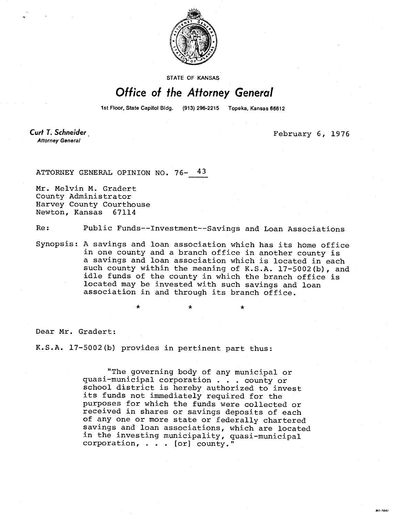

**STATE OF KANSAS** 

## Office of the Attorney General

1st Floor, State Capitol Bldg. (913) 296-2215 Topeka, Kansas 66612

**Curt T. Schneider Attorney General** 

February 6, 1976

ATTORNEY GENERAL OPINION NO. 76- 43

Mr. Melvin M. Gradert County Administrator Harvey County Courthouse Newton, Kansas 67114

Re: Public Funds--Investment--Savings and Loan Associations

Synopsis: A savings and loan association which has its home office in one county and a branch office in another county is a savings and loan association which is located in each such county within the meaning of K.S.A. 17-5002(b), and idle funds of the county in which the branch office is located may be invested with such savings and loan association in and through its branch office.

Dear Mr. Gradert:

K.S.A. 17-5002(b) provides in pertinent part thus:

"The governing body of any municipal or quasi-municipal corporation . . . county or school district is hereby authorized to invest its funds not immediately required for the purposes for which the funds were collected or received in shares or savings deposits of each of any one or more state or federally chartered savings and loan associations, which are located in the investing municipality, quasi-municipal corporation, . . . [or] county."